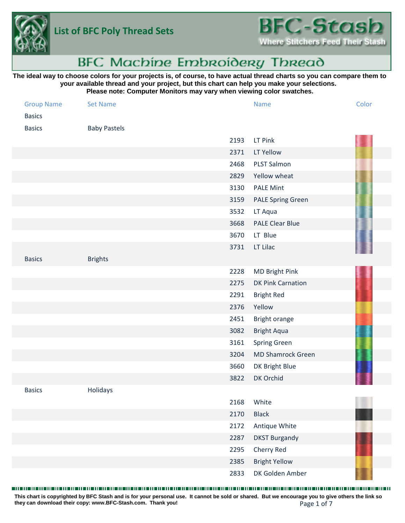



# **BFC Machine Embroidery Thread**

# **The ideal way to choose colors for your projects is, of course, to have actual thread charts so you can compare them to your available thread and your project, but this chart can help you make your selections. Please note: Computer Monitors may vary when viewing color swatches.**

| <b>Group Name</b><br><b>Basics</b> | <b>Set Name</b>     |      | <b>Name</b>              | Color |
|------------------------------------|---------------------|------|--------------------------|-------|
| <b>Basics</b>                      | <b>Baby Pastels</b> |      |                          |       |
|                                    |                     | 2193 | LT Pink                  |       |
|                                    |                     | 2371 | LT Yellow                |       |
|                                    |                     | 2468 | PLST Salmon              |       |
|                                    |                     | 2829 | Yellow wheat             |       |
|                                    |                     | 3130 | <b>PALE Mint</b>         |       |
|                                    |                     | 3159 | <b>PALE Spring Green</b> |       |
|                                    |                     | 3532 | LT Aqua                  |       |
|                                    |                     | 3668 | <b>PALE Clear Blue</b>   |       |
|                                    |                     | 3670 | LT Blue                  |       |
|                                    |                     | 3731 | LT Lilac                 |       |
| <b>Basics</b>                      | <b>Brights</b>      |      |                          |       |
|                                    |                     | 2228 | MD Bright Pink           |       |
|                                    |                     | 2275 | <b>DK Pink Carnation</b> |       |
|                                    |                     | 2291 | <b>Bright Red</b>        |       |
|                                    |                     | 2376 | Yellow                   |       |
|                                    |                     | 2451 | Bright orange            |       |
|                                    |                     | 3082 | <b>Bright Aqua</b>       |       |
|                                    |                     | 3161 | Spring Green             |       |
|                                    |                     | 3204 | <b>MD Shamrock Green</b> |       |
|                                    |                     | 3660 | DK Bright Blue           |       |
|                                    |                     | 3822 | DK Orchid                |       |
| <b>Basics</b>                      | Holidays            |      |                          |       |
|                                    |                     | 2168 | White                    |       |
|                                    |                     | 2170 | <b>Black</b>             |       |
|                                    |                     | 2172 | Antique White            |       |
|                                    |                     | 2287 | <b>DKST Burgandy</b>     |       |
|                                    |                     | 2295 | Cherry Red               |       |
|                                    |                     | 2385 | <b>Bright Yellow</b>     |       |
|                                    |                     | 2833 | DK Golden Amber          |       |

#### 

Page 1 of 7 **This chart is copyrighted by BFC Stash and is for your personal use. It cannot be sold or shared. But we encourage you to give others the link so they can download their copy: [www.BFC-Stash.com.](www.BFC-Stash.com) Thank you!**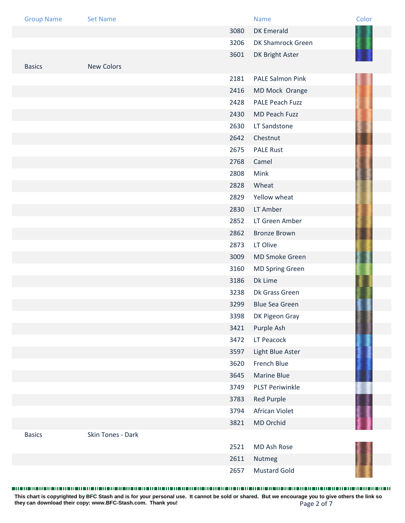| <b>Group Name</b> | <b>Set Name</b>   |      | <b>Name</b>             | Color |
|-------------------|-------------------|------|-------------------------|-------|
|                   |                   | 3080 | <b>DK Emerald</b>       |       |
|                   |                   | 3206 | DK Shamrock Green       |       |
|                   |                   | 3601 | DK Bright Aster         |       |
| <b>Basics</b>     | <b>New Colors</b> |      |                         |       |
|                   |                   | 2181 | <b>PALE Salmon Pink</b> |       |
|                   |                   | 2416 | MD Mock Orange          |       |
|                   |                   | 2428 | PALE Peach Fuzz         |       |
|                   |                   | 2430 | MD Peach Fuzz           |       |
|                   |                   | 2630 | LT Sandstone            |       |
|                   |                   | 2642 | Chestnut                |       |
|                   |                   | 2675 | <b>PALE Rust</b>        |       |
|                   |                   | 2768 | Camel                   |       |
|                   |                   | 2808 | Mink                    |       |
|                   |                   | 2828 | Wheat                   |       |
|                   |                   | 2829 | Yellow wheat            |       |
|                   |                   | 2830 | LT Amber                |       |
|                   |                   | 2852 | LT Green Amber          |       |
|                   |                   | 2862 | <b>Bronze Brown</b>     |       |
|                   |                   | 2873 | LT Olive                |       |
|                   |                   | 3009 | <b>MD Smoke Green</b>   |       |
|                   |                   | 3160 | <b>MD Spring Green</b>  |       |
|                   |                   | 3186 | Dk Lime                 |       |
|                   |                   | 3238 | Dk Grass Green          |       |
|                   |                   | 3299 | <b>Blue Sea Green</b>   |       |
|                   |                   | 3398 | DK Pigeon Gray          |       |
|                   |                   | 3421 | Purple Ash              |       |
|                   |                   | 3472 | LT Peacock              |       |
|                   |                   | 3597 | Light Blue Aster        |       |
|                   |                   | 3620 | French Blue             |       |
|                   |                   | 3645 | <b>Marine Blue</b>      |       |
|                   |                   | 3749 | <b>PLST Periwinkle</b>  |       |
|                   |                   | 3783 | <b>Red Purple</b>       |       |
|                   |                   | 3794 | African Violet          |       |
|                   |                   | 3821 | MD Orchid               |       |
| <b>Basics</b>     | Skin Tones - Dark |      |                         |       |
|                   |                   | 2521 | MD Ash Rose             |       |
|                   |                   | 2611 | Nutmeg                  |       |
|                   |                   | 2657 | <b>Mustard Gold</b>     |       |

Page 2 of 7 **This chart is copyrighted by BFC Stash and is for your personal use. It cannot be sold or shared. But we encourage you to give others the link so they can download their copy: [www.BFC-Stash.com.](www.BFC-Stash.com) Thank you!**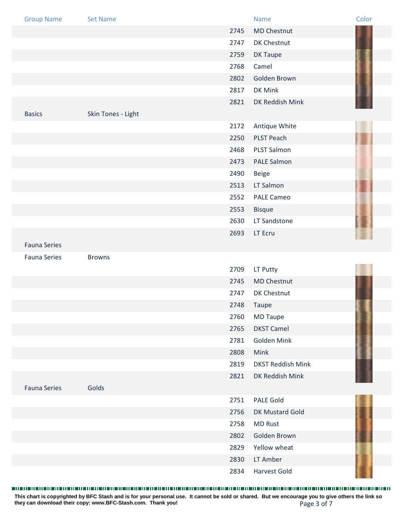| <b>Group Name</b>   | <b>Set Name</b>    |      | <b>Name</b>              | Color |
|---------------------|--------------------|------|--------------------------|-------|
|                     |                    | 2745 | <b>MD Chestnut</b>       |       |
|                     |                    | 2747 | DK Chestnut              |       |
|                     |                    | 2759 | DK Taupe                 |       |
|                     |                    | 2768 | Camel                    |       |
|                     |                    | 2802 | Golden Brown             |       |
|                     |                    | 2817 | DK Mink                  |       |
|                     |                    | 2821 | DK Reddish Mink          |       |
| <b>Basics</b>       | Skin Tones - Light |      |                          |       |
|                     |                    | 2172 | Antique White            |       |
|                     |                    | 2250 | PLST Peach               |       |
|                     |                    | 2468 | <b>PLST Salmon</b>       |       |
|                     |                    | 2473 | PALE Salmon              |       |
|                     |                    | 2490 | <b>Beige</b>             |       |
|                     |                    | 2513 | LT Salmon                |       |
|                     |                    | 2552 | <b>PALE Cameo</b>        |       |
|                     |                    | 2553 | <b>Bisque</b>            |       |
|                     |                    | 2630 | LT Sandstone             |       |
|                     |                    | 2693 | LT Ecru                  |       |
| <b>Fauna Series</b> |                    |      |                          |       |
| <b>Fauna Series</b> | <b>Browns</b>      |      |                          |       |
|                     |                    | 2709 | LT Putty                 |       |
|                     |                    | 2745 | <b>MD Chestnut</b>       |       |
|                     |                    | 2747 | DK Chestnut              |       |
|                     |                    | 2748 | Taupe                    |       |
|                     |                    | 2760 | <b>MD Taupe</b>          |       |
|                     |                    | 2765 | <b>DKST Camel</b>        |       |
|                     |                    | 2781 | Golden Mink              |       |
|                     |                    | 2808 | Mink                     |       |
|                     |                    | 2819 | <b>DKST Reddish Mink</b> |       |
|                     |                    | 2821 | DK Reddish Mink          |       |
| <b>Fauna Series</b> | Golds              |      |                          |       |
|                     |                    | 2751 | <b>PALE Gold</b>         |       |
|                     |                    | 2756 | DK Mustard Gold          |       |
|                     |                    | 2758 | <b>MD Rust</b>           |       |
|                     |                    | 2802 | Golden Brown             |       |
|                     |                    | 2829 | Yellow wheat             |       |
|                     |                    | 2830 | LT Amber                 |       |
|                     |                    | 2834 | <b>Harvest Gold</b>      |       |

Page 3 of 7 **This chart is copyrighted by BFC Stash and is for your personal use. It cannot be sold or shared. But we encourage you to give others the link so they can download their copy: [www.BFC-Stash.com.](www.BFC-Stash.com) Thank you!**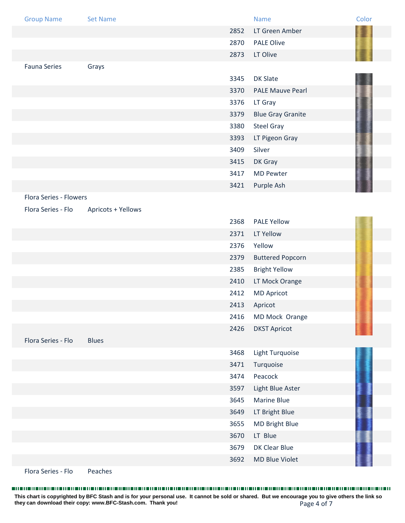| <b>Group Name</b>      | <b>Set Name</b>    |      | <b>Name</b>              | Color |
|------------------------|--------------------|------|--------------------------|-------|
|                        |                    | 2852 | LT Green Amber           |       |
|                        |                    | 2870 | <b>PALE Olive</b>        |       |
|                        |                    | 2873 | LT Olive                 |       |
| <b>Fauna Series</b>    | Grays              |      |                          |       |
|                        |                    | 3345 | <b>DK Slate</b>          |       |
|                        |                    | 3370 | <b>PALE Mauve Pearl</b>  |       |
|                        |                    | 3376 | LT Gray                  |       |
|                        |                    | 3379 | <b>Blue Gray Granite</b> |       |
|                        |                    | 3380 | <b>Steel Gray</b>        |       |
|                        |                    | 3393 | LT Pigeon Gray           |       |
|                        |                    | 3409 | Silver                   |       |
|                        |                    | 3415 | DK Gray                  |       |
|                        |                    | 3417 | <b>MD Pewter</b>         |       |
|                        |                    | 3421 | Purple Ash               |       |
| Flora Series - Flowers |                    |      |                          |       |
| Flora Series - Flo     | Apricots + Yellows |      |                          |       |
|                        |                    | 2368 | <b>PALE Yellow</b>       |       |
|                        |                    | 2371 | LT Yellow                |       |
|                        |                    | 2376 | Yellow                   |       |
|                        |                    | 2379 | <b>Buttered Popcorn</b>  |       |
|                        |                    | 2385 | <b>Bright Yellow</b>     |       |
|                        |                    | 2410 | LT Mock Orange           |       |
|                        |                    | 2412 | <b>MD Apricot</b>        |       |
|                        |                    | 2413 | Apricot                  |       |
|                        |                    | 2416 | MD Mock Orange           |       |
|                        |                    | 2426 | <b>DKST Apricot</b>      |       |
| Flora Series - Flo     | <b>Blues</b>       |      |                          |       |
|                        |                    | 3468 | Light Turquoise          |       |
|                        |                    | 3471 | Turquoise                |       |
|                        |                    | 3474 | Peacock                  |       |
|                        |                    | 3597 | Light Blue Aster         |       |
|                        |                    | 3645 | Marine Blue              |       |
|                        |                    | 3649 | LT Bright Blue           |       |
|                        |                    | 3655 | MD Bright Blue           |       |
|                        |                    | 3670 | LT Blue                  |       |
|                        |                    | 3679 | DK Clear Blue            |       |
|                        |                    | 3692 | <b>MD Blue Violet</b>    |       |

Flora Series - Flo<br>
Peaches

Page 4 of 7 **This chart is copyrighted by BFC Stash and is for your personal use. It cannot be sold or shared. But we encourage you to give others the link so they can download their copy: [www.BFC-Stash.com.](www.BFC-Stash.com) Thank you!**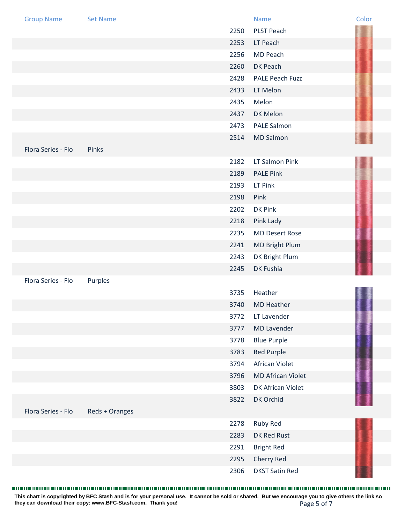| <b>Group Name</b>  | <b>Set Name</b> |      | <b>Name</b>              | Color |
|--------------------|-----------------|------|--------------------------|-------|
|                    |                 | 2250 | <b>PLST Peach</b>        |       |
|                    |                 | 2253 | LT Peach                 |       |
|                    |                 | 2256 | MD Peach                 |       |
|                    |                 | 2260 | DK Peach                 |       |
|                    |                 | 2428 | PALE Peach Fuzz          |       |
|                    |                 | 2433 | LT Melon                 |       |
|                    |                 | 2435 | Melon                    |       |
|                    |                 | 2437 | DK Melon                 |       |
|                    |                 | 2473 | <b>PALE Salmon</b>       |       |
|                    |                 | 2514 | <b>MD Salmon</b>         |       |
| Flora Series - Flo | Pinks           |      |                          |       |
|                    |                 | 2182 | LT Salmon Pink           |       |
|                    |                 | 2189 | <b>PALE Pink</b>         |       |
|                    |                 | 2193 | LT Pink                  |       |
|                    |                 | 2198 | Pink                     |       |
|                    |                 | 2202 | DK Pink                  |       |
|                    |                 | 2218 | Pink Lady                |       |
|                    |                 | 2235 | <b>MD Desert Rose</b>    |       |
|                    |                 | 2241 | MD Bright Plum           |       |
|                    |                 | 2243 | DK Bright Plum           |       |
|                    |                 | 2245 | DK Fushia                |       |
| Flora Series - Flo | Purples         |      |                          |       |
|                    |                 | 3735 | Heather                  |       |
|                    |                 | 3740 | <b>MD Heather</b>        |       |
|                    |                 | 3772 | LT Lavender              |       |
|                    |                 | 3777 | <b>MD Lavender</b>       |       |
|                    |                 | 3778 | <b>Blue Purple</b>       |       |
|                    |                 | 3783 | Red Purple               |       |
|                    |                 | 3794 | African Violet           |       |
|                    |                 | 3796 | <b>MD African Violet</b> |       |
|                    |                 | 3803 | DK African Violet        |       |
|                    |                 | 3822 | DK Orchid                |       |
| Flora Series - Flo | Reds + Oranges  |      |                          |       |
|                    |                 | 2278 | Ruby Red                 |       |
|                    |                 | 2283 | DK Red Rust              |       |
|                    |                 | 2291 | <b>Bright Red</b>        |       |
|                    |                 | 2295 | Cherry Red               |       |
|                    |                 | 2306 | <b>DKST Satin Red</b>    |       |

Page 5 of 7 **This chart is copyrighted by BFC Stash and is for your personal use. It cannot be sold or shared. But we encourage you to give others the link so they can download their copy: [www.BFC-Stash.com.](www.BFC-Stash.com) Thank you!**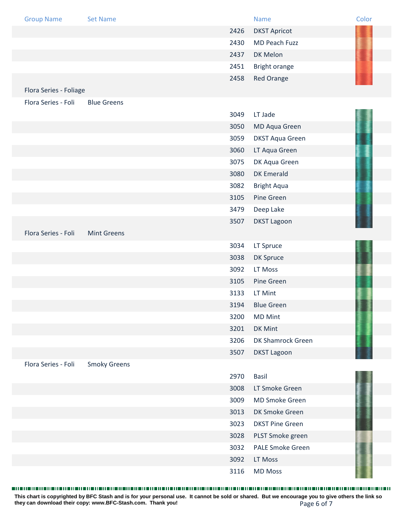| <b>Group Name</b>      | <b>Set Name</b>     |      | <b>Name</b>             | Color |
|------------------------|---------------------|------|-------------------------|-------|
|                        |                     | 2426 | <b>DKST Apricot</b>     |       |
|                        |                     | 2430 | MD Peach Fuzz           |       |
|                        |                     | 2437 | DK Melon                |       |
|                        |                     | 2451 | Bright orange           |       |
|                        |                     | 2458 | <b>Red Orange</b>       |       |
| Flora Series - Foliage |                     |      |                         |       |
| Flora Series - Foli    | <b>Blue Greens</b>  |      |                         |       |
|                        |                     | 3049 | LT Jade                 |       |
|                        |                     | 3050 | MD Aqua Green           |       |
|                        |                     | 3059 | <b>DKST Aqua Green</b>  |       |
|                        |                     | 3060 | LT Aqua Green           |       |
|                        |                     | 3075 | DK Aqua Green           |       |
|                        |                     | 3080 | <b>DK Emerald</b>       |       |
|                        |                     | 3082 | <b>Bright Aqua</b>      |       |
|                        |                     | 3105 | Pine Green              |       |
|                        |                     | 3479 | Deep Lake               |       |
|                        |                     | 3507 | <b>DKST Lagoon</b>      |       |
| Flora Series - Foli    | <b>Mint Greens</b>  |      |                         |       |
|                        |                     | 3034 | LT Spruce               |       |
|                        |                     | 3038 | DK Spruce               |       |
|                        |                     | 3092 | LT Moss                 |       |
|                        |                     | 3105 | Pine Green              |       |
|                        |                     | 3133 | LT Mint                 |       |
|                        |                     | 3194 | <b>Blue Green</b>       |       |
|                        |                     | 3200 | <b>MD Mint</b>          |       |
|                        |                     | 3201 | DK Mint                 |       |
|                        |                     | 3206 | DK Shamrock Green       |       |
|                        |                     | 3507 | <b>DKST Lagoon</b>      |       |
| Flora Series - Foli    | <b>Smoky Greens</b> |      |                         |       |
|                        |                     | 2970 | <b>Basil</b>            |       |
|                        |                     | 3008 | LT Smoke Green          |       |
|                        |                     | 3009 | <b>MD Smoke Green</b>   |       |
|                        |                     | 3013 | DK Smoke Green          |       |
|                        |                     | 3023 | <b>DKST Pine Green</b>  |       |
|                        |                     | 3028 | PLST Smoke green        |       |
|                        |                     | 3032 | <b>PALE Smoke Green</b> |       |
|                        |                     | 3092 | LT Moss                 |       |
|                        |                     | 3116 | <b>MD Moss</b>          |       |

Page 6 of 7 **This chart is copyrighted by BFC Stash and is for your personal use. It cannot be sold or shared. But we encourage you to give others the link so they can download their copy: [www.BFC-Stash.com.](www.BFC-Stash.com) Thank you!**